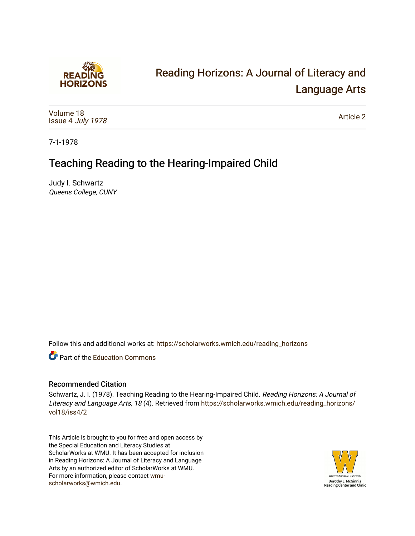

# [Reading Horizons: A Journal of Literacy and](https://scholarworks.wmich.edu/reading_horizons)  [Language Arts](https://scholarworks.wmich.edu/reading_horizons)

[Volume 18](https://scholarworks.wmich.edu/reading_horizons/vol18) Issue 4 [July 1978](https://scholarworks.wmich.edu/reading_horizons/vol18/iss4)

[Article 2](https://scholarworks.wmich.edu/reading_horizons/vol18/iss4/2) 

7-1-1978

## Teaching Reading to the Hearing-Impaired Child

Judy I. Schwartz Queens College, CUNY

Follow this and additional works at: [https://scholarworks.wmich.edu/reading\\_horizons](https://scholarworks.wmich.edu/reading_horizons?utm_source=scholarworks.wmich.edu%2Freading_horizons%2Fvol18%2Fiss4%2F2&utm_medium=PDF&utm_campaign=PDFCoverPages)

**C** Part of the [Education Commons](http://network.bepress.com/hgg/discipline/784?utm_source=scholarworks.wmich.edu%2Freading_horizons%2Fvol18%2Fiss4%2F2&utm_medium=PDF&utm_campaign=PDFCoverPages)

### Recommended Citation

Schwartz, J. I. (1978). Teaching Reading to the Hearing-Impaired Child. Reading Horizons: A Journal of Literacy and Language Arts, 18 (4). Retrieved from [https://scholarworks.wmich.edu/reading\\_horizons/](https://scholarworks.wmich.edu/reading_horizons/vol18/iss4/2?utm_source=scholarworks.wmich.edu%2Freading_horizons%2Fvol18%2Fiss4%2F2&utm_medium=PDF&utm_campaign=PDFCoverPages) [vol18/iss4/2](https://scholarworks.wmich.edu/reading_horizons/vol18/iss4/2?utm_source=scholarworks.wmich.edu%2Freading_horizons%2Fvol18%2Fiss4%2F2&utm_medium=PDF&utm_campaign=PDFCoverPages)

This Article is brought to you for free and open access by the Special Education and Literacy Studies at ScholarWorks at WMU. It has been accepted for inclusion in Reading Horizons: A Journal of Literacy and Language Arts by an authorized editor of ScholarWorks at WMU. For more information, please contact [wmu](mailto:wmu-scholarworks@wmich.edu)[scholarworks@wmich.edu.](mailto:wmu-scholarworks@wmich.edu)

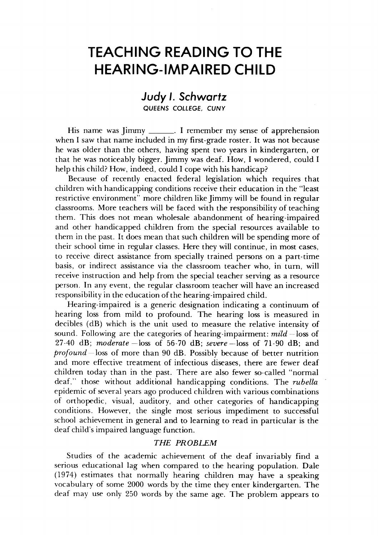### *TEACHING READING TO THE* **TEACHING READING TO THE**  *HEARING-IMPAIRED CHILD* **HEARING-IMPAIRED CHILD**

### *Judy I. Schwartz* **Judy I. Schwartz**  *QUEENS COLLEGE, CUNY* QUEENS COLLEGE, CUNY

His name was Jimmy \_\_\_\_\_\_. I remember my sense of apprehension when I saw that name included in my first-grade roster. It was not because when I saw that name included in my first-grade roster. It was not because he was older than the others, having spent two years in kindergarten, or he was older than the others, having spent two years in kindergarten, or that he was noticeably bigger. Jimmy was deaf. How, I wondered, could I help this child? How, indeed, could I cope with his handicap? help this child? How, indeed, could I cope with his handicap?

Because of recently enacted federal legislation which requires that Because of recently enacted federal legislation which requires that children with handicapping conditions receive their education in the "least children with handicapping conditions receive their education in the "least restrictive environment" more children like Jimmy will be found in regular restrictive environment" more children like Jimmy will be found in regular classrooms. More teachers will be faced with the responsibility of teaching classrooms. More teachers will be faced with the responsibility of teaching them. This does not mean wholesale abandonment of hearing-impaired them. This does not mean wholesale abandonment of hearing-impaired and other handicapped children from the special resources available to and other handicapped children from the special resources available to them in the past. It does mean that such children will be spending more of them the past. It does mean that such children will be spending more of their school time in regular classes. Here they will continue, in most cases, their school time in regular classes. Here they will continue, in most cases, to receive direct assistance from specially trained persons on a part-time to receive direct assistance from specially trained persons on a part-time basis, or indirect assistance via the classroom teacher who, in turn, will basis, or indirect assistance via the classroom teacher who, in tum, will receive instruction and help from the special teacher serving as a resource receive instruction and help from the special teacher serving as a resource person. In any event, the regular classroom teacher will have an increased person. In any event, the regular classroom teacher will have an increased responsibility in the education of the hearing-impaired child. responsibility in the education of the hearing-impaired child.

Hearing-impaired is a generic designation indicating a continuum of Hearing-impaired is a generic designation indicating a continuum of hearing loss from mild to profound. The hearing loss is measured in hearing loss from mild to profound. The hearing loss is measured in decibles (dB) which is the unit used to measure the relative intensity of decibles (dB) which is the unit used to measure the relative intensity of sound. Following are the categories of hearing-impairment: *mild* -loss of 27-40 dB; **mo derate** -loss of 56-70 dB; **severe** -loss of 71-90 dB; and 27-40 dB; *moderate* -loss of 56-70 dB; *severe* -loss of 71-90 dB; and **profound loss** of more than 90 dB. Possibly because of better nutrition *profound* -loss more than 90 dB. Possibly because of better nutrition and more effective treatment of infectious diseases, there are fewer deaf and more effective treatment of infectious diseases, there are fewer deaf children today than in the past. There are also fewer so-called "normal children today than in the past. There are also fewer so-called "normal deaf," those without additional handicapping conditions. The **rubella** deaf," those without additional handicapping conditions. The *rubella*  epidemic of several years ago produced children with various combinations epidemic of several years ago produced children with various combinations of orthopedic, visual, auditory, and other categories of handicapping of orthopedic, visual, auditory, and other categories of handicapping conditions. However, the single most serious impediment to successful conditions. However, the single most serious impediment to successful school achievement in general and to learning to read in particular is the school achievement in general and to learning to read in particular is the deaf child's impaired language function. deaf child's impaired language function.

#### **THE PROBLEM** *THE PROBLEM*

Studies of the academic achievement of the deaf invariably find a Studies of the academic achievement of the deaf invariably find a serious educational lag when compared to the hearing population. Dale serious educational lag when compared to the hearing population. Dale (1974) estimates that normally hearing children may have a speaking (1974) estimates that normally hearing children may have a speaking vocabulary of some 2000 words by the time they enter kindergarten. The vocabulary of some 2000 words by the time they enter kindergarten. The deaf may use only 250 words by the same age. The problem appears to deaf may use only 250 words by the same age. The problem appears to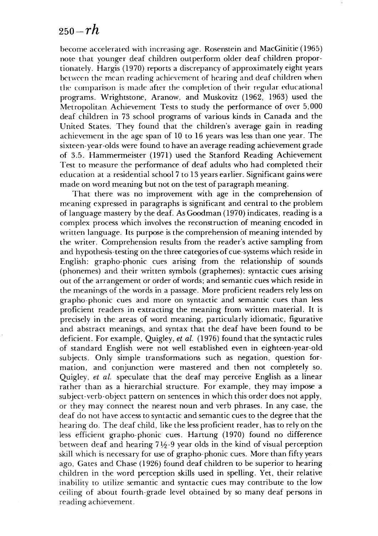## <sup>250</sup>**-rh** *250-rh*

become accelerated with increasing age. Rosenstein and MacGinitie (1965) become accelerated with increasing age. Rosenstein MacGinitie (1965) note that younger deaf children outperform older deaf children propor note that younger deaf children outperform older deaf children proportionately. Hargis (1970) reports a discrepancy of approximately eight years tionately. Hargis (1970) reports a discrepancy of approximately eight years between the mean reading achievement of hearing and deaf children when between the mean reading achievement of hearing and deaf children when the comparison is made after the completion of their regular educational programs. Wrightstone, Aranow, and Muskovitz (1962, 1963) used the programs. Wrightstone, Aranow, and Muskovitz (1962, 1963) used the Metropolitan Achievement Tests to study the performance of over 5,000 Metropolitan Achievement Tests to study the of over 5,000 deaf children in 73 school programs of various kinds in Canada and the deaf children in 73 school programs of various kinds in Canada and the United States. They found that the children's average gain in reading United States. They found that the children's average gain in reading achievement in the age span of 10 to 16 years was lessthan one year. The achievement in the age span of 10 to 16 years was less than one year. The sixteen-year-olds were found to have an average reading achievement grade of 3.5. Hammermeister (1971) used the Stanford Reading Achievement Test to measure the performance of deaf adults who had completed their Test to measure the performance of deaf adults who had completed their education at a residential school 7 to 13 years earlier. Significant gains were education at a residential school 7 to 13 years earlier. Significant gains were made on word meaning but not on the test of paragraph meaning. made on word meaning but not on the test of paragraph meaning.

That there was no improvement with age in the comprehension of That there was no improvement with age in the comprehension of meaning expressed in paragraphs issignificant and central to the problem meaning expressed in paragraphs is significant and central to the problem of language mastery by the deaf. As Goodman (1970) indicates, reading is a complex process which involves the reconstruction of meaning encoded in complex process which involves the reconstruction of meaning encoded in written language. Its purpose is the comprehension of meaning intended by written language. Its purpose is the comprehension of meaning intended by the writer. Comprehension results from the reader's active sampling from the writer. Comprehension results from the reader's active sampling from and hypothesis-testing on the three categories of cue-systems which reside in English: grapho-phonic cues arising from the relationship of sounds English: grapho-phonic cues arising from the relationship of sounds (phonemes) and their written symbols (graphemes); syntactic cues arising (phonemes) and their written symbols (graphemes); syntactic cues arising out of the arrangement or order of words; and semantic cues which reside in the meanings of the words in a passage. More proficient readers rely lesson the meanings of the words in a passage. More proficient readers rely less on grapho-phonic cues and more on syntactic and semantic cues than less grapho-phonic cues and more on syntactic and semantic cues than less proficient readers in extracting the meaning from written material. It is proficient readers in extracting the meaning from written material. It is precisely in the areas of word meaning, particularly idiomatic, figurative precisely in the areas of word meaning, particularly idiomatic, figurative and abstract meanings, and syntax that the deaf have been found to be and abstract meanings, and syntax that the deaf have been found to be deficient. For example, Quigley, **et al.** (1976) found that the syntactic rules deficient. For example, Quigley, *et al.* (1976) found that syntactic rules of standard English were not well established even in eighteen-year-old of standard English were not well established even in eighteen-year-old subjects. Only simple transformations such as negation, question for subjects. Only simple transformations such as negation, question formation, and conjunction were mastered and then not completely so. mation, and conjunction were mastered and then not completely so. Quigley, *et al.* speculate that the deaf may perceive English as a linear rather than as a hierarchial structure. For example, they may impose a rather than as a hierarchial structure. For example, they may impose a subject-verb-object pattern on sentences in which this order does not apply, subject-verb-object pattern on sentences in which this order does not apply, or they may connect the nearest noun and verb phrases. In any case, the or they may connect the nearest noun and verb phrases. In any case, the deaf do not have access to syntactic and semantic cues to the degree that the deaf do not have access to syntactic and semantic cues to the degree that the hearing do. The deaf child, like the lessproficient reader, has to rely on the hearing do. The deaf child, like less proficient reader, has to rely on the less efficient grapho-phonic cues. Hartung (1970) found no difference less efficient grapho-phonic cues. Hartung (1970) found no difference between deaf and hearing  $7\frac{1}{2}$ -9 year olds in the kind of visual perception skill which is necessary for use of grapho-phonic cues. More than fifty years skill which is necessary for use of grapho-phonic cues. More than fifty years ago, Gates and Chase (1926) found deaf children to be superior to hearing ago, Gates and Chase (1926) found deaf children to be superior to hearing children in the word perception skills used in spelling. Yet, their relative children in the word perception skills used in spelling. Yet, their relative inability to utilize semantic and syntactic cues may contribute to the low inability to utilize semantic and syntactic cues may contribute to the low ceiling of about fourth-grade level obtained by so many deaf persons in ceiling of about fourth-grade level obtained by so many deaf persons in reading achievement. reading achievement.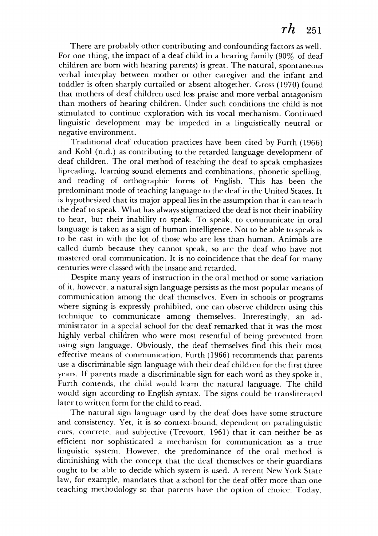There are probably other contributing and confounding factors as well. There are probably other contributing and confounding factors as well. For one thing, the impact of a deaf child in a hearing family (90% of deaf For one thing, the impact of a deaf child in a hearing family (90% of deaf children are born with hearing parents) is great. The natural, spontaneous children are born with hearing parents) is great. The natural, spontaneous verbal interplay between mother or other caregiver and the infant and verbal interplay between mother or other caregiver and the infant and toddler is often sharply curtailed or absent altogether. Gross (1970) found toddler is often sharply curtailed or absent altogether. Gross (1970) found that mothers of deaf children used less praise and more verbal antagonism that mothers of deaf children used less praise and more verbal antagonism than mothers of hearing children. Under such conditions the child is not than mothers of hearing children. Under such conditions the child is not stimulated to continue exploration with its vocal mechanism. Continued stimulated to continue exploration with its vocal mechanism. Continued linguistic development may be impeded in a linguistically neutral or linguistic development may be impeded in a linguistically neutral or negative environment. negative environment.

Traditional deaf education practices have been cited by Furth (1966) Traditional deaf education practices have been cited by Furth (1966) and Kohl (n.d.) as contributing to the retarded language development of and Kohl (n.d.) as contributing to the retarded language development of deaf children. The oral method of teaching the deaf to speak emphasizes deaf children. The oral method of teaching the deaf to speak emphasizes lipreading, learning sound elements and combinations, phonetic spelling, lipreading, learning sound elements and combinations, phonetic spelling, and reading of orthographic forms of English. This has been the and reading of orthographic forms of English. This has been the predominant mode of teaching language to the deaf in the United States. It predominant mode of teaching language to the deaf the United States. It is hypothesized that its major appeal lies in the assumption that it can teach the deaf to speak. What has always stigmatized the deaf is not their inability to hear, but their inability to speak. To speak, to communicate in oral to hear, but their inability to speak. To speak, to communicate in oral language is taken as a sign of human intelligence. Not to be able to speak is to be cast in with the lot of those who are less than human. Animals are to be cast in with the lot of those who are less than human. Animals are called dumb because they cannot speak, so are the deaf who have not called dumb because they cannot speak, so are the deaf who have not mastered oral communication. It is no coincidence that the deaf for many mastered oral communication. It is no coincidence that the for many centuries were classed with the insane and retarded. centuries were classed with the insane and retarded.

Despite many years of instruction in the oral method or some variation Despite many years of instruction in the oral method or some variation of it, however, a natural sign language persists as the most popular means of communication among the deaf themselves. Even in schools or programs communication among the deaf themselves. Even in schools or programs where signing is expressly prohibited, one can observe children using this where signing is expressly prohibited, one can observe children using this technique to communicate among themselves. Interestingly, an ad technique to communicate among themselves. Interestingly, an administrator in a special school for the deaf remarked that it was the most ministrator in a special school for the deaf remarked that it was the most highly verbal children who were most resentful of being prevented from highly verbal children who were most resentful being prevented from using sign language. Obviously, the deaf themselves find this their most using sign language. Obviously, the deaf themselves find this their most effective means of communication. Furth (1966) recommends that parents effective means of communication. Furth (1966) recommends that parents use a discriminable sign language with their deaf children for the first three use a discriminable sign language with their deaf children for the first three years. If parents made a discriminable sign for each word as they spoke it, years. If parents made a discriminable sign for each word as they spoke it, Furth contends, the child would learn the natural language. The child Furth contends, the child would learn the natural language. The child would sign according to English syntax. The signs could be transliterated would sign according to English syntax. The signs could be transliterated later to written form for the child to read. later to written form for the child to read.

The natural sign language used by the deaf does have some structure The natural sign language used by the deaf does have some structure and consistency. Yet, it is so context-bound, dependent on paralinguistic and consistency. Yet, it is so context-bound, dependent on paralinguistic cues, concrete, and subjective (Trevoort, 1961) that it can neither be as cues, concrete, and subjective (Trevoort, 1961) that it can neither be as efficient nor sophisticated a mechanism for communication as a true efficient nor sophisticated a mechanism for communication as a true linguistic system. However, the predominance of the oral method is linguistic system. However, the predominance of the oral method is diminishing with the concept that the deaf themselves or their guardians diminishing with the concept that the deaf themselves or their guardians ought to be able to decide which system is used. A recent New York State ought to be able to decide which system is used. A recent New York State law, for example, mandates that a school for the deaf offer more than one law, for example, mandates that a school for the deaf offer more than one teaching methodology so that parents have the option of choice. Today, teaching methodology so that parents have the option of choice. Today,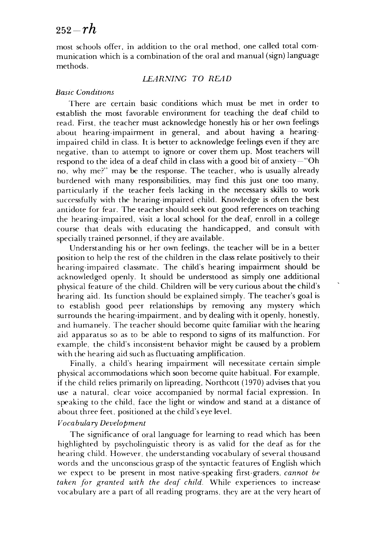## <sup>252</sup>**-rh** *252-rh*

most schools offer, in addition to the oral method, one called total com most schools offer, in addition to the oral method, one called total communication which is a combination of the oral and manual (sign) language munication which is a combination of the oral and manual (sign) language methods. methods.

#### **LEARNING TO RE.1D** *LEARNING TO RL·1D*

#### **Basic Conditions** *BaslC CondltlOns*

There are certain basic conditions which must be met in order to There are certain basic conditions which must be met in order to establish the most favorable environment for teaching the deaf child to establish the most favorable environment for teaching the deaf child to read. First, the teacher must acknowledge honestly his or her own feelings about hearing-impairment in general, and about having a hearing-about hearing-impairment in general, and about having a hearingimpaired child in class. It is better to acknowledge feelings even if they are impaired child in class. It is better to acknowledge feelings even if they are negative, than to attempt to ignore or cover them up. Most teachers will negative, than to attempt to ignore or cover them up. Most teachers will respond to the idea of a deaf child in class with a good bit of anxiety $-$  'Oh  $\,$ no, why me?" may be the response. The teacher, who is usually already no, why me?" may be the response. The teacher, who is usually already burdened with many responsibilities, may find this just one too many, burdened with many responsibilities, may find this just one too many, particularly if the teacher feels lacking in the necessary skills to work particularly if the teacher feels lacking in the necessary skills to work successfully with the hearing-impaired child. Knowledge is often the best successfully with the hearing-impaired child. Knowledge is often the best antidote for fear. The teacher should seek out good references on teaching antidote for fear. The teacher should seek out good references on teaching the hearing-impaired, visit a local school for the deaf, enroll in a college the hearing-impaired, visit a local school for the deaf, enroll in a college course that deals with educating the handicapped, and consult with course that deals with educating the handicapped, and consult with specially trained personnel, if they are available. specially trained personnel, if they are available.

Understanding his or her own feelings, the teacher will be in a better Understanding his or her own feelings, the teacher will be in a better position to help the rest of the children in the classrelate positively to their position to help the rest of the children in the class relate positively to their hearing-impaired classmate. The child's hearing impairment should be acknowledged openly. It should be understood as simply one additional acknowledged openly. It should be understood as simply one additional physical feature of the child. Children will be verycurious about the child's physical feature of the child. Children will be very curious about the child's hearing aid. Its function should be explained simply. The teacher's goal is hearing aid. Its function should be explained simply. The teacher's goal is to establish good peer relationships by removing any mystery which to establish good peer relationships by removing any mystery which surrounds the hearing-impairment, and by dealing with it openly, honestly, surrounds the hearing-impairment, and by dealing with it openly, honestly, and humaneiy. The teacher should become quite familiar with the hearing and humanely. The teacher should become quite familiar with the hearing aid apparatus so as to be able to respond to signs of its malfunction. For aid apparatus so as to be able to respond to signs of its malfunction. For example, the child's inconsistent behavior might be caused by a problem with the hearing aid such asfluctuating amplification. with the hearing aid such as fluctuating amplification.

Finally, a child's hearing impairment will necessitate certain simple Finally, a child's hearing impairment will necessitate certain simple physical accommodations which soon become quite habitual. For example, physical accommodations which soon become quite habitual. For example, if the child relies primarily on lipreading, Northcott (1970) advises that you if the child relies primarily on lipreading, Northcott (1970) advises that you use a natural, clear voice accompanied by normal facial expression. In use a natural, clear voice accompanied by normal facial expression. In speaking to the child, face the light or window and stand at a distance of speaking to the child, face the light or window and stand at a distance of about three feet, positioned at the child's eye level. about three feet. positioned at the child's eye level.

#### **Vocabulary Development** *V oca bula* 1)' *Development*

The significance of oral language for learning to read which has been The significance of oral language for learning to read which has been highlighted by psycholinguistic theory is as valid for the deaf as for the highlighted by psycholinguistic theory is as valid for the deaf as for the hearing child. However, the understanding vocabulary of several thousand hearing child. However, the understanding vocabulary of several thousand words and the unconscious grasp of the syntactic features of English which words and the unconscious grasp of the syntactic features of English which we expect to be present in most native-speaking first-graders, **cannot be** we expect to be present in most native-speaking first-graders, *cannot be*  **taken for granted with the deaf child.** While experiences to increase *taken for granted with the deaf child.* While experiences to increase vocabulary are a part of all reading programs, they are at the very heart of vocabulary are a part all reading programs, they are at the very heart of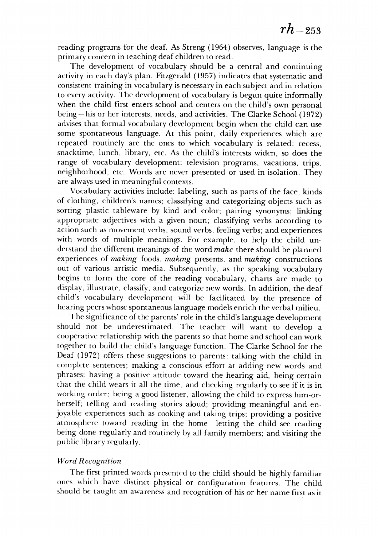reading programs for the deaf. As Streng (1964) observes, language is the reading programs for the deaf. As Streng (1964) observes, language is the primary concern in teaching deaf children to read. primary concern in teaching deaf children to read.

The development of vocabulary should be a central and continuing The development of vocabulary should be a central and continuing activity in each day's plan. Fitzgerald (1957) indicates that systematic and activity in each day's plan. Fitzgerald (1957) indicates that systematic and consistent training in vocabulary is necessary in each subject and in relation consistent training in vocabulary is necessary in each subject and in relation to every activity. The development of vocabulary is begun quite informally to every activity. The development of vocabulary is begun quite informally when the child first enters school and centers on the child's own personal being - his or her interests, needs, and activities. The Clarke School (1972) advises that formal vocabulary development begin when the child can use advises that formal vocabulary development begin when the child can use some spontaneous language. At this point, daily experiences which are some spontaneous language. At this point, daily experiences which are repeated routinely are the ones to which vocabulary is related: recess, repeated routinely are the ones to which vocabulary is related: recess, snacktime, lunch, library, etc. As the child's interests widen, so does the snacktime, lunch, library, etc. As the child's interests widen, so does the range of vocabulary development: television programs, vacations, trips, range of vocabulary development: television programs, vacations, trips, neighborhood, etc. Words are never presented or used in isolation. They neighborhood, etc. Words are never presented or used in isolation. They are always used in meaningful contexts. are always used in meaningful contexts.

Vocabulary activities include: labeling, such as parts of the face, kinds Vocabulary activities include: labeling, such as parts of the face, kinds of clothing, children's names; classifying and categorizing objects such as of clothing, children's names; classifying and categorizing objects such as sorting plastic tableware by kind and color; pairing synonyms; linking sorting plastic tableware by kind and color; pairing synonyms; linking appropriate adjectives with a given noun; classifying verbs accoiding to appropriate adjectives with a given noun; classifying verbs according to action such as movement verbs, sound verbs, feeling verbs; and experiences action such as movement verbs, sound verbs, feeling verbs; and experiences with words of multiple meanings. For example, to help the child un with words of multiple meanings. For example, to help the child understand the different meanings of the word**make** there should be planned derstand the different meanings of the word *make* there should be planned experiences of *making* foods, *making* presents, and *making* constructions out of various artistic media. Subsequently, as the speaking vocabulary begins to form the core of the reading vocabulary, charts are made to begins to form the core of the reading vocabulary, charts are made to display, illustrate, classify, and categorize new words. In addition, the deaf display, illustrate, classify, and categorize new words. In addition, the deaf child's vocabulary development will be facilitated by the presence of child's vocabulary development will be facilitated by the presence of hearing peers whose spontaneous language models enrich the verbal milieu.

The significance of the parents' role in the child's language development should not be underestimated. The teacher will want to develop a should not be underestimated. The teacher will want to develop a cooperative relationship with the parents so that home and school can work cooperative relationship with the parents so that home and school work together to build the child's language function. The Clarke School for the together to build the child's language function. The Clarke School for the Deaf (1972) offers these suggestions to parents: talking with the child in Deaf (1972) offers these suggestions to parents: talking with the child in complete sentences; making a conscious effort at adding new words and complete sentences; making a conscious effort at adding new words and phrases; having a positive attitude toward the hearing aid, being certain phrases; having a positive attitude toward the hearing aid, being certain that the child wears it all the time, and checking regularly to see if it is in that the child wears it all the time, and checking regularly to see if it is in working order; being a good listener, allowing the child to express him-or-working order; being a good listener, allowing the child to express him-orherself; telling and reading stories aloud; providing meaningful and en herself; telling and reading stories aloud; providing meaningful and enjoyable experiences such as cooking and taking trips; providing a positive joyable experiences such as cooking and taking trips; providing a positive atmosphere toward reading in the home–letting the child see reading being done regularly and routinely by all family members; and visiting the being done regularly and routinely by all family members; and visiting the public library regularly.

#### $Word\, Recognition$

The first printed words presented to the child should be highly familiar ones which have distinct physical or configuration features. The child ones which have distinct physical or configuration features. The child should be taught an awareness and recognition of his or her name first as it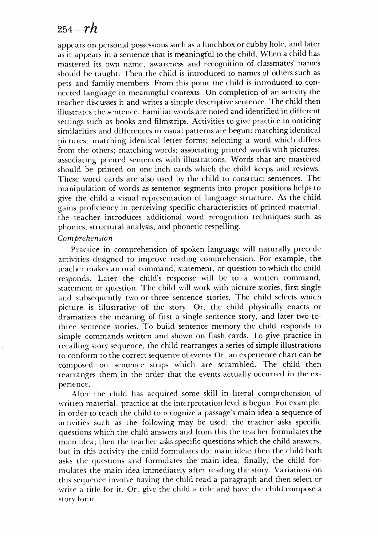## <sup>254</sup>**-rh** *254-rh*

appears on personal possessions such as a lunchbox or cubby hole, and later as it appears in a sentence that is meaningful to the child. When a child has mastered its own name, awareness and recognition of classmates' names mastered its own name, awareness and recognition of classmates' names should be taught. Then the child is introduced to names of others such as should be taught. Then the child is introduced to names of others such as pets and family members. From this point the child is introduced to con pets and family members. From this point the child is introduced to connected language in meaningful contexts. On completion of an activity the nected language in meaningtul contexts. On completion of an activity the teacher discusses it and writes a simple descriptive sentence. The child then tcacher discusses it and writes a simple descriptive sentence. The child then illustrates the sentence. Familiar words are noted and identified in different illustrates the sentence. Familiar words are noted and identified in different settings such as books and filmstrips. Activities to give practice in noticing settings such as books and filmstrips. Activities to give practice in noticing similarities and differences in visualpatterns are begun: matching identical similarities and differences in visual patterns are begun: matching identical pictures; matching identical letter forms; selecting a word which differs pictures; matching identical letter forms; selecting a word which differs from the others; matching words; associating printed words with pictures; from the others; matching words; associating printed words with pictures; associating printed sentences with illustrations. Words that are mastered associating printed sentences with illustrations. Words that are mastered should be printed on one inch cards which the child keeps and reviews. should be printed on one inch cards which the child keeps and reviews. These word cards are also used by the child to construct sentences. The These word cards are also used by the child to construct sentences. The manipulation of words as sentence segments into proper positions helps to manipulation of words as sentence segments into positions helps to give the child a visual representation of language structure. As the child give the child a visual representation of language structure. As the child gains proficiency in perceiving specific characteristics of printed material, the teacher introduces additional word recognition techniques such as the teacher introduces additional word recognition techniques such as phonics, structural analysis, and phonetic respelling. phonics, structural analysis, and phonetic respelling.

#### **Comprehension** *Comprehensz'on*

Practice in comprehension of spoken language will naturally precede Practice in comprehension of spoken language will naturally precede activities designed to improve reading comprehension. For example, the activities designed to improve reading comprehension. For example, the teacher makes an oral command, statement, or question to which the child responds. Later the child's response will be to a written command, responds. Later the child's response will be to a written command, statement or question. The child will work with picture stories, first single statement or question. The child will work with picture stories, first single and subsequently two-or-three sentence stories. The child selects which and subsequently two-or-three sentence stories. The child selects which picture is illustrative of the story. Or, the child physically enacts or picture is illustrative of the story. Or, the child physically enacts or dramatizes the meaning of first a single sentence story, and later two-to-dramatizes the meaning of first a single sentence story, and later two-tothree sentence stories. To build sentence memory the child responds to three sentence stories. To build sentence memory the child responds to simple commands written and shown on flash cards. To give practice in simple commands written and shown on flash cards. To give practice in recalling story sequence, the child rearranges a series of simple illustrations recalling story sequence, the child rearranges a series of simple illustrations to conform to the correct sequence of events.Or, an experience chart can be to conform to the correct sequence of events. Or, an experience chart can be composed on sentence strips which are scrambled. The child then composed on sentence strips which are scrambled. The child then rearranges them in the order that the events actually occurred in the ex rearranges them in the order that the events actually occurred in the experience. perIence.

After the child has acquired some skill in literal comprehension of After the child has acquired some skill in literal comprehension of written material, practice at the interpretation level isbegun. For example, written material, practice at the interpretation level is begun. For example, in order to teach the child to recognize a passage's main idea a sequence of in order to teach the child to recognize a passage's main idea a sequence of activities such as the following may be used: the teacher asks specific activities such as the following may be used: the teacher asks specific questions which the child answers and from this the teacher formulates the questions which the child answers and from this the teacher formulates the main idea; then the teacher asks specific questions which the child answers, main idea; then the teacher asks specific questions which the child answers, but in this activity the child formulates the main idea; then the child both asks the questions and formulates the main idea; finally, the child formulates the main idea immediately after reading the story. Variations on mulates the main idea immediately after reading the story. Variations on this sequence involve having the child read a paragraph and then select or this sequence involve having the child read a paragraph and then select or write a title for it. Or, give the child a title and have the child compose a write a title for it. Or, give the child a title and have the child compose a storv for it. story for it.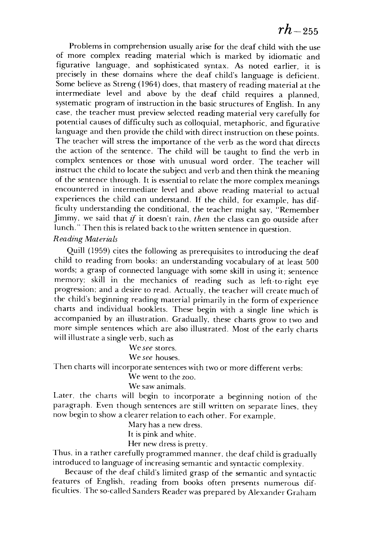### $rh_{-255}$

Problems in comprehension usually arise for the deaf child with the use Problems in comprehension usually arise for the deaf child with the use of more complex reading material which is marked by idiomatic and figurative language, and sophisticated syntax. As noted earlier, it is figurative language, and sophisticated syntax. As noted earlier, it is precisely in these domains where the deaf child's language is deficient. precisely in these domains where the deaf child's language is deficient. Some believe as Streng (1964) does, that masteryof reading material at the Some believe as Streng (1964) does, that mastery of reading material at the intermediate level and above by the deaf child requires a planned, intermediate level and above by the deaf child requires a planned, systematic program of instruction in the basic structures of English. In any systematic program of instruction in the basic structures of English. **In** any case, the teacher must preview selected reading material very carefully for potential causes of difficulty such as colloquial, metaphoric, and figurative potential causes of difficulty such as colloquial, metaphoric, and figurative language and then provide the child with direct instruction on these points. The teacher will stress the importance of the verb as the word that directs the action of the sentence. The child will be taught to find the verb in the action of the sentence. The child will be taught to find the verb in complex sentences or those with unusual word order. The teacher will instruct the child to locate the subject and verb and then think the meaning of the sentence through. It is essential to relate the more complex meanings encountered in intermediate level and above reading material to actual encountered in intermediate level and above reading material to actual experiences the child can understand. If the child, for example, has difficulty understanding the conditional, the teacher might say, "Remember ficulty understanding the conditional, the teacher might say, "Remember Jimmy, we said that **if** it doesn't rain, **then** the class can go outside after Jimmy, we said that if it doesn't rain, *then* the class can go outside after lunch." Then this is related back to the written sentence in question.

#### **Reading Materials** *Reading Materials*

Quill (1959) cites the following as prerequisites to introducing the deaf Quill (1959) cites the following as prerequisites to introducing the deaf child to reading from books: an understanding vocabulary of at least 500 child to reading from books: an understanding vocabulary of at least 500 words; a grasp of connected language with some skill in usingit; sentence words; a grasp of connected language with some skill in using it; sentence memory; skill in the mechanics of reading such as left-to-right eye memory; skill in the mechanics of reading such as left-to-right eye progression; and a desire to read. Actually, the teacher will create much of the child's beginning reading material primarily in the form of experience charts and individual booklets. These begin with a single line which is charts and individual booklets. These begin with a single line which is accompanied by an illustration. Gradually, these charts grow to two and accompanied by an illustration. Gradually, these charts grow to two and more simple sentences which are also illustrated. Most of the early charts more simple sentences which are also illustrated. Most of the early charts will illustrate a single verb, such as will illustrate a single verb, such as

**We see** stores. We *see* stores.

**We see** houses. We *see* houses.

Then charts will incorporate sentences with two or more different verbs: Then charts will incorporate sentences with two more different verbs:

We went to the zoo. We went to the zoo.

We saw animals. We saw animals.

Later, the charts will begin to incorporate a beginning notion of the Later, the charts will begin to incorporate a beginning notion of the paragraph. Even though sentences are still written on separate lines, they paragraph. Even though sentences are still written on separate lines, they now begin to show a clearer relation to each other. For example,

Mary has a new dress. Mary has a new dress.

It is pink and white. It is pink and white.

Her new dress is pretty.

Thus, in a rather carefully programmed manner, the deaf child is gradually introduced to language of increasing semantic and syntactic complexity.  $\,$ 

Because of the deaf child's limited grasp of the semantic and syntactic features of English, reading from books often presents numerous difficulties. The so-called Sanders Reader was prepared by Alexander Graham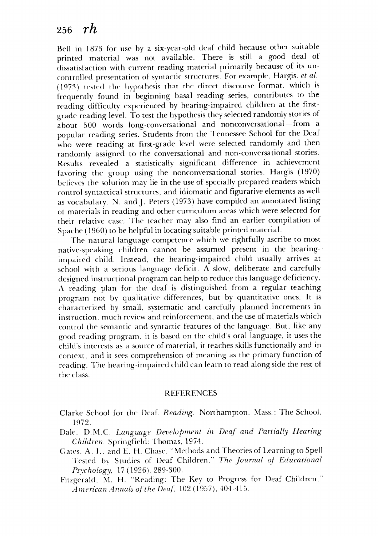## <sup>256</sup>**-rh** *256-rh*

Bell in 1873 for use by a six-year-old deaf child because other suitable printed material was not available. There is still a good deal of printed material was not available. There is still a good deal of dissatisfaction with current reading material primarily because of its un dissatisfaction with curr{'nt reading material primarily because of its uncontrolled presentation of syntactic structures. For example, Hargis. *et al.* (1973) tested the hypothesis that the direct discourse format, which is frequently found in beginning basal reading series, contributes to the reading difficulty experienced by hearing-impaired children at the firstgrade reading level. To test the hypothesis they selected randomly stories of about 500 words long-conversational and nonconversational —from a about 500 words long-conversational and nonconversational-from a popular reading series. Students from the Tennessee School for the Deaf who were reading at first-grade level were selected randomly and then randomly assigned to the conversational and non-conversational stories. randomly assigned to the conversational and non-conversational stories. Results revealed a statistically significant difference in achievement favoring the group using the nonconversational stories. Hargis (1970) believes the solution may lie in the use of specially prepared readers which control syntactical structures, and idiomatic and figurative elements as well as vocabulary. N. and J. Peters (1973) have compiled an annotated listing of materials in reading and other curriculum areas which were selected for of mat{'rials in r{'ading and other curriculum areas which were selected for their relative ease. The teacher may also find an earlier compilation of Spache (1960) to be helpful in locating suitable printed material.

The natural language competence which we rightfully ascribe to most native-speaking children cannot be assumed present in the hearingimpaired child. Instead, the hearing-impaired child usually arrives at impaired child. Instead, the hearing-impaired child usually arrives at school with a serious language deficit. A slow, deliberate and carefully designed instructional program can help to reduce this language deficiency. A reading plan for the deaf is distinguished from a regular teaching program not by qualitative differences, but by quantitative ones. It is characterized by small, systematic and carefully planned increments in characterized by small. systematic and carefully planned increments in instruction, much review and reinforcement, and the use of materials which control the semantic and syntactic features of the language. But, like any good reading program, it is based on the child's oral language, it uses the child's interests as a source of material, it teaches skills functionally and in context, and it sees comprehension of meaning as the primary function of reading. The hearing-impaired child can learn to read along side the rest of the class.

#### REFERENCES REFERENCES

- Clarke School for the Deaf. *Reading.* Northampton, Mass.: The School, 1972. 1972.
- Dale. D.M.C. *Language Development in Deaf and Partially Hearing* **Children.** Springfield: Thomas, 1974. *Chzldren.* Springfield: Thomas. 1974.
- Gates, A. I., and E. H. Chase, "Methods and Theories of Learning to Spell Tested by Studies of Deaf Children." The Journal of Educational **Psychology,** 17(1926), 289-300. *Psychology.* 17 (1926). 289-300.
- Fitzgerald, M. H. "Reading: The Key to Progress for Deaf Children." **American Annals ofthe Deaf,** 102 (1957), 404-415. *Amerz'can Annals o(the Deaf.* 102 (1957). 404-415.